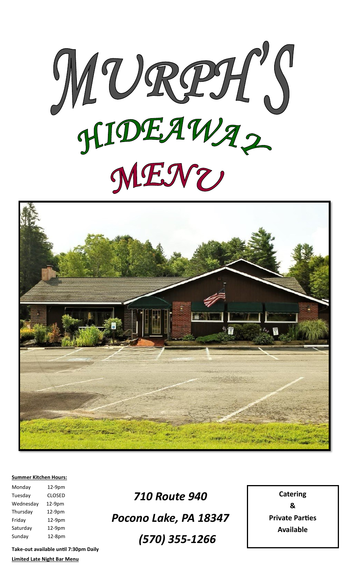



#### **Summer Kitchen Hours:**

| Monday    | 12-9pm        |
|-----------|---------------|
| Tuesday   | <b>CLOSED</b> |
| Wednesday | 12-9pm        |
| Thursday  | 12-9pm        |
| Friday    | $12-9pm$      |
| Saturday  | 12-9pm        |
| Sunday    | 12-8pm        |

*710 Route 940 Pocono Lake, PA 18347 (570) 355-1266*

**Catering & Private Parties Available**

**Take-out available until 7:30pm Daily Limited Late Night Bar Menu**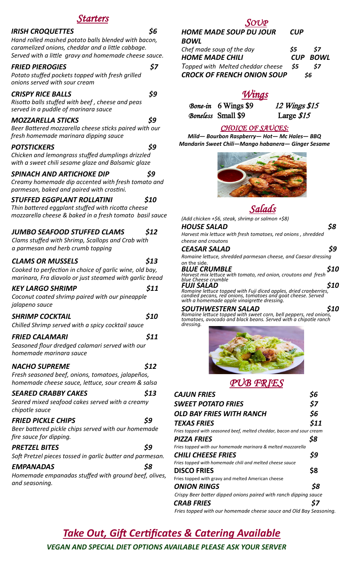# *Starters*

| <b>IRISH CROQUETTES</b>                                                                                                                                           | 56  |
|-------------------------------------------------------------------------------------------------------------------------------------------------------------------|-----|
| Hand rolled mashed potato balls blended with bacon,<br>caramelized onions, cheddar and a little cabbage.<br>Served with a little gravy and homemade cheese sauce. |     |
| <b>FRIED PIEROGIES</b><br>Potato stuffed pockets topped with fresh grilled<br>onions served with sour cream                                                       | \$7 |
| <b>CRISPY RICE BALLS</b><br>Risotto balls stuffed with beef, cheese and peas<br>served in a puddle of marinara sauce                                              | \$9 |
| <b>MOZZARELLA STICKS</b><br>Beer Battered mozzarella cheese sticks paired with our<br>fresh homemade marinara dipping sauce                                       | \$9 |
| <b>POTSTICKERS</b><br>Chicken and lemongrass stuffed dumplings drizzled<br>with a sweet chili sesame glaze and Balsamic glaze                                     | 59  |
| <b>SPINACH AND ARTICHOKE DIP</b><br>Creamy homemade dip accented with fresh tomato and<br>parmesan, baked and paired with crostini.                               |     |
|                                                                                                                                                                   |     |

#### *STUFFED EGGPLANT ROLLATINI \$10*

*Thin battered eggplant stuffed with ricotta cheese mozzarella cheese & baked in a fresh tomato basil sauce*

## *JUMBO SEAFOOD STUFFED CLAMS \$12*

*Clams stuffed with Shrimp, Scallops and Crab with a parmesan and herb crumb topping*

#### *CLAMS OR MUSSELS \$13*

*Cooked to perfection in choice of garlic wine, old bay, marinara, Fra diavolo or just steamed with garlic bread*

### *KEY LARGO SHRIMP \$11*

*Coconut coated shrimp paired with our pineapple jalapeno sauce*

#### *SHRIMP COCKTAIL \$10*

*Chilled Shrimp served with a spicy cocktail sauce*

## *FRIED CALAMARI \$11*

*Seasoned flour dredged calamari served with our homemade marinara sauce*

#### *NACHO SUPREME \$12*

*Fresh seasoned beef, onions, tomatoes, jalapeños, homemade cheese sauce, lettuce, sour cream & salsa*

*SEARED CRABBY CAKES \$13 Seared mixed seafood cakes served with a creamy chipotle sauce* 

#### *FRIED PICKLE CHIPS \$9*

*Beer battered pickle chips served with our homemade fire sauce for dipping.*

## *PRETZEL BITES \$9*

*Soft Pretzel pieces tossed in garlic butter and parmesan.*

## *EMPANADAS \$8*

*Homemade empanadas stuffed with ground beef, olives, and seasoning.*

# *SOUP*

# *HOME MADE SOUP DU JOUR CUP BOWL*

*Chef made soup of the day \$5 \$7 HOME MADE CHILI CUP BOWL Topped with Melted cheddar cheese \$5 \$7 CROCK OF FRENCH ONION SOUP \$6*

# *Wings*

*Bone-in* 6 Wings \$9 12 Wings \$15 *Boneless* Small \$9 Large \$15

# *CHOICE OF SAUCES:*

*Mild— Bourbon Raspberry— Hot— Mc Hales— BBQ Mandarin Sweet Chili—Mango habanera— Ginger Sesame*





*(Add chicken +\$6, steak, shrimp or salmon +\$8) HOUSE SALAD \$8* 

*Harvest mix lettuce with fresh tomatoes, red onions , shredded cheese and croutons* 

*CEASAR SALAD \$9 Romaine lettuce, shredded parmesan cheese, and Caesar dressing* 

on the side.<br>**BLUE CRUMBLE** *BLUE CRUMBLE \$10 Harvest mix lettuce with tomato, red onion, croutons and fresh blue Cheese crumble FUJI SALAD \$10 Romaine lettuce topped with Fuji diced apples, dried cranberries,* 

*candied pecans, red onions, tomatoes and goat cheese. Served with a homemade apple vinaigrette dressing.*

*SOUTHWESTERN SALAD \$10 Romaine lettuce topped with sweet corn, bell peppers, red onions, tomatoes, avocado and black beans. Served with a chipotle ranch dressing.*



# *PUB FRIES*

| <b>CAJUN FRIES</b>                                                    |      |
|-----------------------------------------------------------------------|------|
| <b>SWEET POTATO FRIES</b>                                             | \$7  |
| <b>OLD BAY FRIES WITH RANCH</b>                                       | \$6  |
| <b>TEXAS FRIES</b>                                                    | \$11 |
| Fries topped with seasoned beef, melted cheddar, bacon and sour cream |      |
| <b>PIZZA FRIES</b>                                                    | \$8  |
| Fries topped with our homemade marinara & melted mozzarella           |      |
| <b>CHILI CHEESE FRIES</b>                                             | \$9  |
| Fries topped with homemade chili and melted cheese sauce              |      |
| <b>DISCO FRIES</b>                                                    | \$8  |
| Fries topped with gravy and melted American cheese                    |      |
| <b>ONION RINGS</b>                                                    | S8   |
| Crispy Beer batter dipped onions paired with ranch dipping sauce      |      |
| <b>CRAB FRIES</b>                                                     |      |

 *Fries topped with our homemade cheese sauce and Old Bay Seasoning.*

# *Take Out, Gift Certificates & Catering Available*

*VEGAN AND SPECIAL DIET OPTIONS AVAILABLE PLEASE ASK YOUR SERVER*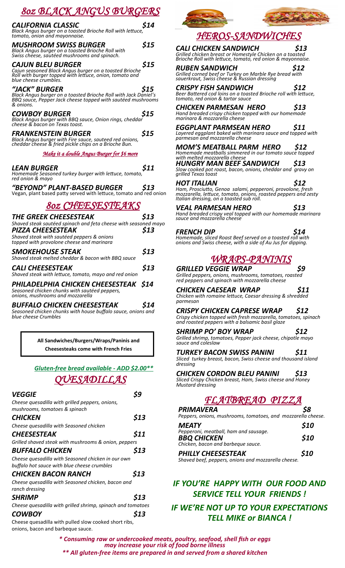# *8oz BLACK ANGUS BURGERS*

| <u> 002 DETLA JENG 00 D 0 AGE 10</u>                                                                                                                            |      |
|-----------------------------------------------------------------------------------------------------------------------------------------------------------------|------|
| <b>CALIFORNIA CLASSIC</b><br>Black Angus burger on a toasted Brioche Roll with lettuce,<br>tomato, onion and mayonnaise.                                        | \$14 |
| <b>MUSHROOM SWISS BURGER</b><br>Black Angus burger on a toasted Brioche Roll with<br>Swiss cheese, sautéed mushrooms and spinach.                               | \$15 |
| CAJUN BLEU BURGER<br>Cajun seasoned Black Angus burger on a toasted Brioche<br>Roll with burger topped with lettuce, onion, tomato and<br>blue cheese crumbles. | \$15 |
| "JACK" BURGER                                                                                                                                                   | \$15 |
| Black Angus burger on a toasted Brioche Roll with Jack Daniel's<br>BBQ sauce, Pepper Jack cheese topped with sautéed mushrooms<br>& onions.                     |      |
| <b>COWBOY BURGER</b><br>Black Angus burger with BBQ sauce, Onion rings, cheddar<br>cheese & bacon on Texas toast.                                               | \$15 |
| <b>FRANKENSTEIN BURGER</b><br>Black Angus burger with Fire sauce, sauteed red onions,<br>cheddar cheese & fried pickle chips on a Brioche Bun.                  | \$15 |
| Make it a double Angus Burger for \$6 more                                                                                                                      |      |
| <i><b>LEAN BURGER</b></i><br>Homemade Seasoned turkey burger with lettuce, tomato,<br>red onion & mayo                                                          | \$11 |
| "BEYOND" PLANT-BASED BURGER                                                                                                                                     | S13  |
| Vegan, plant based patty served with lettuce, tomato and red onion                                                                                              |      |
| <i><b>80z CHEESESTEAKS</b></i>                                                                                                                                  |      |
| THE GREEK CHEESESTEAK                                                                                                                                           | \$13 |
| Shaved steak sautéed spinach and feta cheese with seasoned mayo                                                                                                 |      |
| <b>PIZZA CHEESESTEAK</b>                                                                                                                                        | \$13 |
| Shaved steak with sautéed peppers & onions<br>topped with provolone cheese and marinara                                                                         |      |
| SMOKEHOUSE STEAK                                                                                                                                                | \$13 |
| Shaved steak melted cheddar & bacon with BBQ sauce                                                                                                              |      |

*CALI CHEESESTEAK \$13 Shaved steak with lettuce, tomato, mayo and red onion PHILADELPHIA CHICKEN CHEESESTEAK \$14*

*Seasoned chicken chunks with sautéed peppers, onions, mushrooms and mozzarella*

# *BUFFALO CHICKEN CHEESESTEAK \$14*

*Seasoned chicken chunks with house buffalo sauce, onions and blue cheese Crumbles* 

> **All Sandwiches/Burgers/Wraps/Paninis and Cheesesteaks come with French Fries**

# *Gluten-free bread available - ADD \$2.00\*\* QUESADILLAS*

| <i><b>VEGGIE</b></i>                                        |      |
|-------------------------------------------------------------|------|
| Cheese quesadilla with grilled peppers, onions,             |      |
| mushrooms, tomatoes & spinach                               |      |
| CHICKEN                                                     | \$13 |
| Cheese quesadilla with Seasoned chicken                     |      |
| <b>CHEESESTEAK</b>                                          | \$11 |
| Grilled shaved steak with mushrooms & onion, peppers        |      |
| <b>BUFFALO CHICKEN</b>                                      | \$13 |
| Cheese quesadilla with Seasoned chicken in our own          |      |
| buffalo hot sauce with blue cheese crumbles                 |      |
| <b>CHICKEN BACON RANCH</b>                                  | \$13 |
| Cheese quesadilla with Seasoned chicken, bacon and          |      |
| ranch dressing                                              |      |
| <b>SHRIMP</b>                                               | \$13 |
| Cheese quesadilla with grilled shrimp, spinach and tomatoes |      |
| <b>COWBOY</b>                                               | \$13 |
| Cheese quesadilla with pulled slow cooked short ribs,       |      |

onions, bacon and barbeque sauce.



# *HEROS-SANDWICHES*

*CALI CHICKEN SANDWICH \$13 Grilled chicken breast or Homestyle Chicken on a toasted Brioche Roll with lettuce, tomato, red onion & mayonnaise.*

*RUBEN SANDWICH \$12 Grilled corned beef or Turkey on Marble Rye bread with sauerkraut, Swiss cheese & Russian dressing*

*CRISPY FISH SANDWICH \$12 Beer Battered cod loins on a toasted Brioche roll with lettuce, tomato, red onion & tartar sauce*

*CHICKEN PARMESAN HERO \$13 Hand breaded crispy chicken topped with our homemade* 

*marinara & mozzarella cheese EGGPLANT PARMSEAN HERO \$11 Layered eggplant baked with marinara sauce and topped with parmesan and mozzarella cheese*

*MOM'S MEATBALL PARM HERO \$12 Homemade meatballs simmered in our tomato sauce topped with melted mozzarella cheese*

*HUNGRY MAN BEEF SANDWICH \$13 Slow cooked pot roast, bacon, onions, cheddar and gravy on grilled Texas toast*

*HOT ITALIAN \$12 Ham, Prosciutto, Genoa salami, pepperoni, provolone, fresh mozzarella, lettuce, tomato, onions, roasted peppers and zesty Italian dressing, on a toasted sub roll.* 

*VEAL PARMESAN HERO \$13 Hand breaded crispy veal topped with our homemade marinara sauce and mozzarella cheese* 

*FRENCH DIP \$14 Homemade, sliced Roast Beef served on a toasted roll with onions and Swiss cheese, with a side of Au Jus for dipping.*

*WRAPS-PA* 

# *GRILLED VEGGIE WRAP \$9*

*Grilled peppers, onions, mushrooms, tomatoes, roasted red peppers and spinach with mozzarella cheese* 

*CHICKEN CAESEAR WRAP \$11*

*Chicken with romaine lettuce, Caesar dressing & shredded parmesan*

*CRISPY CHICKEN CAPRESE WRAP \$12 Crispy chicken topped with fresh mozzarella, tomatoes, spinach and roasted peppers with a balsamic basil glaze*

*SHRIMP PO' BOY WRAP \$12 Grilled shrimp, tomatoes, Pepper jack cheese, chipotle mayo* 

*sauce and coleslaw* 

*TURKEY BACON SWISS PANINI \$11 Sliced turkey breast, bacon, Swiss cheese and thousand island dressing* 

*CHICKEN CORDON BLEU PANINI \$13*

*Sliced Crispy Chicken breast, Ham, Swiss cheese and Honey Mustard dressing* 

*FLATBREAD PIZZA* 

| <b>PRIMAVERA</b>                                             | \$8         |
|--------------------------------------------------------------|-------------|
| Peppers, onions, mushrooms, tomatoes, and mozzarella cheese. |             |
| <b>MEATY</b>                                                 | <b>\$10</b> |
| Pepperoni, meatball, ham and sausage.                        |             |
| <b>BBQ CHICKEN</b><br>Children houses and hanks and some     | \$10        |

*Chicken, bacon and barbeque sauce. PHILLY CHEESESTEAK \$10 Shaved beef, peppers, onions and mozzarella cheese.*

# *IF YOU'RE HAPPY WITH OUR FOOD AND SERVICE TELL YOUR FRIENDS !*

*IF WE'RE NOT UP TO YOUR EXPECTATIONS TELL MIKE or BIANCA !*

*\* Consuming raw or undercooked meats, poultry, seafood, shell fish or eggs may increase your risk of food borne illness \*\* All gluten-free items are prepared in and served from a shared kitchen*